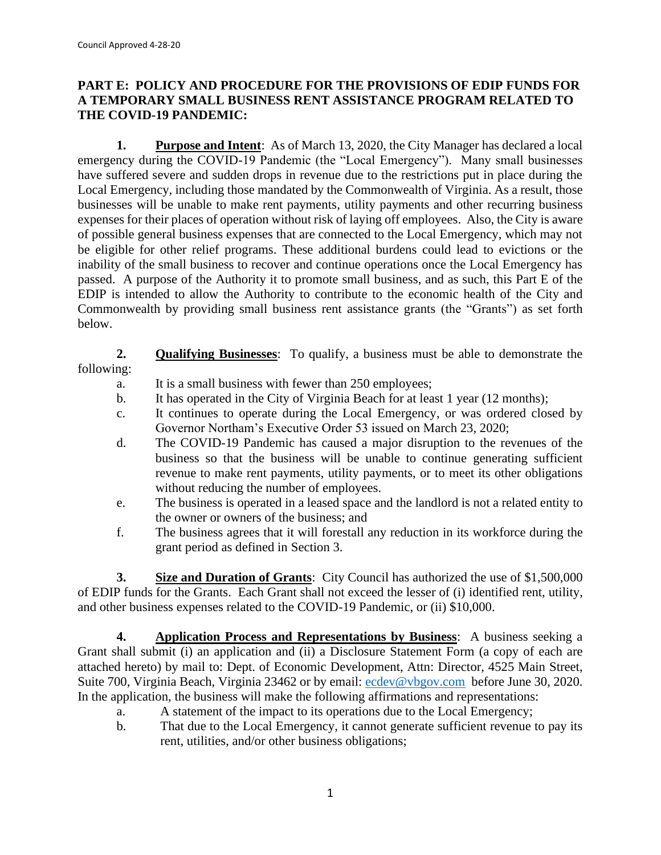## **PART E: POLICY AND PROCEDURE FOR THE PROVISIONS OF EDIP FUNDS FOR A TEMPORARY SMALL BUSINESS RENT ASSISTANCE PROGRAM RELATED TO THE COVID-19 PANDEMIC:**

**1. Purpose and Intent**: As of March 13, 2020, the City Manager has declared a local emergency during the COVID-19 Pandemic (the "Local Emergency"). Many small businesses have suffered severe and sudden drops in revenue due to the restrictions put in place during the Local Emergency, including those mandated by the Commonwealth of Virginia. As a result, those businesses will be unable to make rent payments, utility payments and other recurring business expenses for their places of operation without risk of laying off employees. Also, the City is aware of possible general business expenses that are connected to the Local Emergency, which may not be eligible for other relief programs. These additional burdens could lead to evictions or the inability of the small business to recover and continue operations once the Local Emergency has passed. A purpose of the Authority it to promote small business, and as such, this Part E of the EDIP is intended to allow the Authority to contribute to the economic health of the City and Commonwealth by providing small business rent assistance grants (the "Grants") as set forth below.

**2. Qualifying Businesses**: To qualify, a business must be able to demonstrate the following:

- a. It is a small business with fewer than 250 employees;
- b. It has operated in the City of Virginia Beach for at least 1 year (12 months);
- c. It continues to operate during the Local Emergency, or was ordered closed by Governor Northam's Executive Order 53 issued on March 23, 2020;
- d. The COVID-19 Pandemic has caused a major disruption to the revenues of the business so that the business will be unable to continue generating sufficient revenue to make rent payments, utility payments, or to meet its other obligations without reducing the number of employees.
- e. The business is operated in a leased space and the landlord is not a related entity to the owner or owners of the business; and
- f. The business agrees that it will forestall any reduction in its workforce during the grant period as defined in Section 3.

**3. Size and Duration of Grants**: City Council has authorized the use of \$1,500,000 of EDIP funds for the Grants. Each Grant shall not exceed the lesser of (i) identified rent, utility, and other business expenses related to the COVID-19 Pandemic, or (ii) \$10,000.

**4. Application Process and Representations by Business**: A business seeking a Grant shall submit (i) an application and (ii) a Disclosure Statement Form (a copy of each are attached hereto) by mail to: Dept. of Economic Development, Attn: Director, 4525 Main Street, Suite 700, Virginia Beach, Virginia 23462 or by email: [ecdev@vbgov.com](mailto:ecdev@vbgov.com) before June 30, 2020. In the application, the business will make the following affirmations and representations:

- a. A statement of the impact to its operations due to the Local Emergency;
- b. That due to the Local Emergency, it cannot generate sufficient revenue to pay its rent, utilities, and/or other business obligations;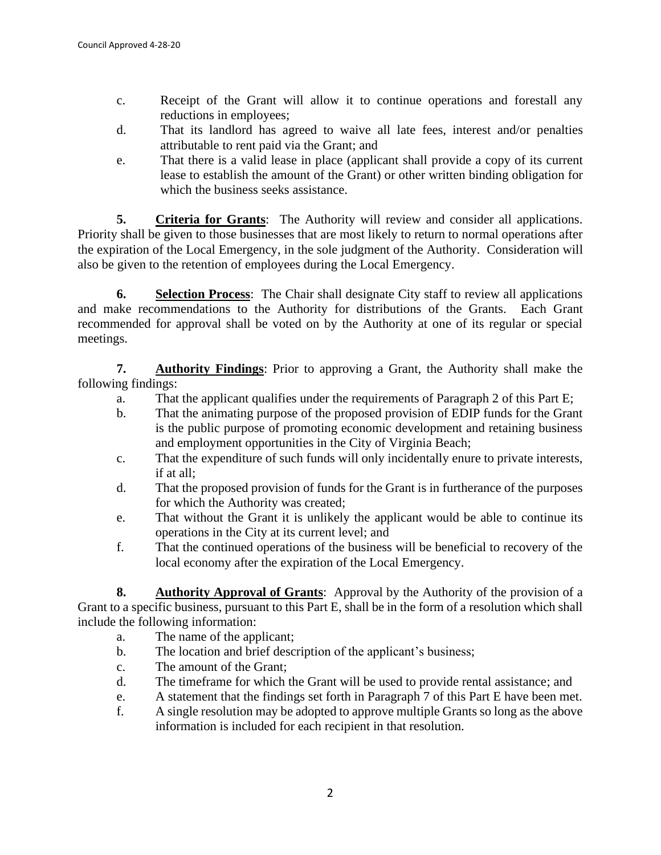- c. Receipt of the Grant will allow it to continue operations and forestall any reductions in employees;
- d. That its landlord has agreed to waive all late fees, interest and/or penalties attributable to rent paid via the Grant; and
- e. That there is a valid lease in place (applicant shall provide a copy of its current lease to establish the amount of the Grant) or other written binding obligation for which the business seeks assistance.

**5. Criteria for Grants**: The Authority will review and consider all applications. Priority shall be given to those businesses that are most likely to return to normal operations after the expiration of the Local Emergency, in the sole judgment of the Authority. Consideration will also be given to the retention of employees during the Local Emergency.

**6. Selection Process**: The Chair shall designate City staff to review all applications and make recommendations to the Authority for distributions of the Grants. Each Grant recommended for approval shall be voted on by the Authority at one of its regular or special meetings.

**7. Authority Findings**: Prior to approving a Grant, the Authority shall make the following findings:

- a. That the applicant qualifies under the requirements of Paragraph 2 of this Part E;
- b. That the animating purpose of the proposed provision of EDIP funds for the Grant is the public purpose of promoting economic development and retaining business and employment opportunities in the City of Virginia Beach;
- c. That the expenditure of such funds will only incidentally enure to private interests, if at all;
- d. That the proposed provision of funds for the Grant is in furtherance of the purposes for which the Authority was created;
- e. That without the Grant it is unlikely the applicant would be able to continue its operations in the City at its current level; and
- f. That the continued operations of the business will be beneficial to recovery of the local economy after the expiration of the Local Emergency.

**8. Authority Approval of Grants**: Approval by the Authority of the provision of a Grant to a specific business, pursuant to this Part E, shall be in the form of a resolution which shall include the following information:

- a. The name of the applicant;
- b. The location and brief description of the applicant's business;
- c. The amount of the Grant;
- d. The timeframe for which the Grant will be used to provide rental assistance; and
- e. A statement that the findings set forth in Paragraph 7 of this Part E have been met.
- f. A single resolution may be adopted to approve multiple Grants so long as the above information is included for each recipient in that resolution.